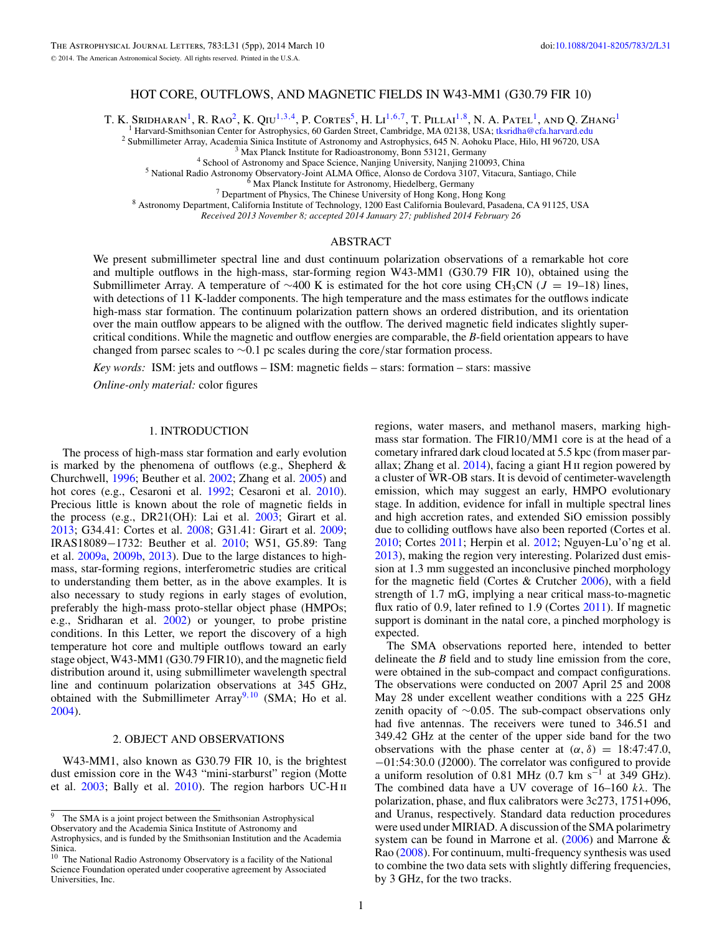# HOT CORE, OUTFLOWS, AND MAGNETIC FIELDS IN W43-MM1 (G30.79 FIR 10)

T. K. SRIDHARAN<sup>1</sup>, R. RAO<sup>2</sup>, K. QIU<sup>1,3,4</sup>, P. CORTES<sup>5</sup>, H. LI<sup>1,6,7</sup>, T. PILLAI<sup>1,8</sup>, N. A. PATEL<sup>1</sup>, AND Q. ZHANG<sup>1</sup><br><sup>1</sup> Harvard-Smithsonian Center for Astrophysics, 60 Garden Street, Cambridge, MA 02138, USA; tksridh

<sup>2</sup> Submillimeter Array, Academia Sinica Institute of Astronomy and Astrophysics, 645 N. Aohoku Place, Hilo, HI 96720, USA<br><sup>3</sup> Max Planck Institute for Radioastronomy, Bonn 53121, Germany<br><sup>4</sup> School of Astronomy and Space

*Received 2013 November 8; accepted 2014 January 27; published 2014 February 26*

## ABSTRACT

We present submillimeter spectral line and dust continuum polarization observations of a remarkable hot core and multiple outflows in the high-mass, star-forming region W43-MM1 (G30.79 FIR 10), obtained using the Submillimeter Array. A temperature of ∼400 K is estimated for the hot core using CH3CN (*J* = 19–18) lines, with detections of 11 K-ladder components. The high temperature and the mass estimates for the outflows indicate high-mass star formation. The continuum polarization pattern shows an ordered distribution, and its orientation over the main outflow appears to be aligned with the outflow. The derived magnetic field indicates slightly supercritical conditions. While the magnetic and outflow energies are comparable, the *B*-field orientation appears to have changed from parsec scales to ∼0.1 pc scales during the core*/*star formation process.

*Key words:* ISM: jets and outflows – ISM: magnetic fields – stars: formation – stars: massive

*Online-only material:* color figures

### 1. INTRODUCTION

The process of high-mass star formation and early evolution is marked by the phenomena of outflows (e.g., Shepherd & Churchwell, [1996;](#page-4-0) Beuther et al. [2002;](#page-3-0) Zhang et al. [2005\)](#page-4-0) and hot cores (e.g., Cesaroni et al. [1992;](#page-3-0) Cesaroni et al. [2010\)](#page-3-0). Precious little is known about the role of magnetic fields in the process (e.g., DR21(OH): Lai et al. [2003;](#page-4-0) Girart et al. [2013;](#page-3-0) G34.41: Cortes et al. [2008;](#page-3-0) G31.41: Girart et al. [2009;](#page-3-0) IRAS18089−1732: Beuther et al. [2010;](#page-3-0) W51, G5.89: Tang et al. [2009a,](#page-4-0) [2009b,](#page-4-0) [2013\)](#page-4-0). Due to the large distances to highmass, star-forming regions, interferometric studies are critical to understanding them better, as in the above examples. It is also necessary to study regions in early stages of evolution, preferably the high-mass proto-stellar object phase (HMPOs; e.g., Sridharan et al. [2002\)](#page-4-0) or younger, to probe pristine conditions. In this Letter, we report the discovery of a high temperature hot core and multiple outflows toward an early stage object, W43-MM1 (G30.79 FIR10), and the magnetic field distribution around it, using submillimeter wavelength spectral line and continuum polarization observations at 345 GHz, obtained with the Submillimeter Array9*,*<sup>10</sup> (SMA; Ho et al. [2004\)](#page-4-0).

# 2. OBJECT AND OBSERVATIONS

W43-MM1, also known as G30.79 FIR 10, is the brightest dust emission core in the W43 "mini-starburst" region (Motte et al. [2003;](#page-4-0) Bally et al. [2010\)](#page-3-0). The region harbors UC-H ii

regions, water masers, and methanol masers, marking highmass star formation. The FIR10*/*MM1 core is at the head of a cometary infrared dark cloud located at 5.5 kpc (from maser parallax; Zhang et al.  $2014$ ), facing a giant H  $\scriptstyle\rm II$  region powered by a cluster of WR-OB stars. It is devoid of centimeter-wavelength emission, which may suggest an early, HMPO evolutionary stage. In addition, evidence for infall in multiple spectral lines and high accretion rates, and extended SiO emission possibly due to colliding outflows have also been reported (Cortes et al. [2010;](#page-3-0) Cortes [2011;](#page-3-0) Herpin et al. [2012;](#page-4-0) Nguyen-Lu'o'ng et al. [2013\)](#page-4-0), making the region very interesting. Polarized dust emission at 1.3 mm suggested an inconclusive pinched morphology for the magnetic field (Cortes & Crutcher [2006\)](#page-3-0), with a field strength of 1.7 mG, implying a near critical mass-to-magnetic flux ratio of 0.9, later refined to 1.9 (Cortes [2011\)](#page-3-0). If magnetic support is dominant in the natal core, a pinched morphology is expected.

The SMA observations reported here, intended to better delineate the *B* field and to study line emission from the core, were obtained in the sub-compact and compact configurations. The observations were conducted on 2007 April 25 and 2008 May 28 under excellent weather conditions with a 225 GHz zenith opacity of ∼0.05. The sub-compact observations only had five antennas. The receivers were tuned to 346.51 and 349.42 GHz at the center of the upper side band for the two observations with the phase center at  $(\alpha, \delta) = 18:47:47.0$ , −01:54:30.0 (J2000). The correlator was configured to provide a uniform resolution of 0.81 MHz (0.7 km s<sup>-1</sup> at 349 GHz). The combined data have a UV coverage of 16–160 *kλ*. The polarization, phase, and flux calibrators were 3c273, 1751+096, and Uranus, respectively. Standard data reduction procedures were used under MIRIAD. A discussion of the SMA polarimetry system can be found in Marrone et al.  $(2006)$  and Marrone & Rao [\(2008\)](#page-4-0). For continuum, multi-frequency synthesis was used to combine the two data sets with slightly differing frequencies, by 3 GHz, for the two tracks.

 $9$  The SMA is a joint project between the Smithsonian Astrophysical

Observatory and the Academia Sinica Institute of Astronomy and

Astrophysics, and is funded by the Smithsonian Institution and the Academia Sinica.

<sup>&</sup>lt;sup>10</sup> The National Radio Astronomy Observatory is a facility of the National Science Foundation operated under cooperative agreement by Associated Universities, Inc.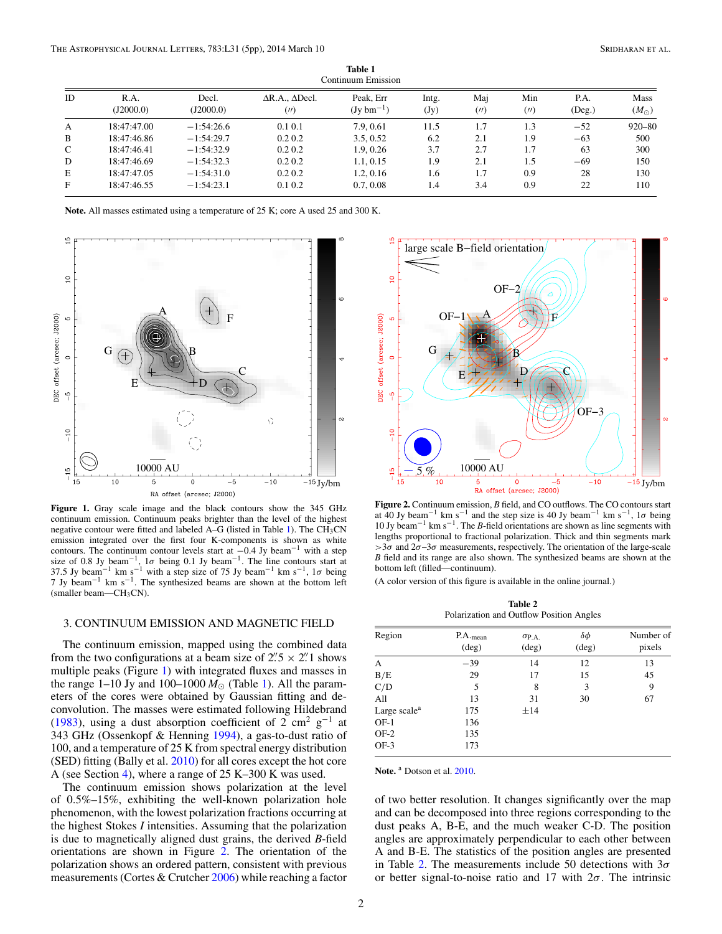<span id="page-1-0"></span>

|    | Continuum Emission |                    |                                       |                                     |               |          |             |                      |                              |  |  |
|----|--------------------|--------------------|---------------------------------------|-------------------------------------|---------------|----------|-------------|----------------------|------------------------------|--|--|
| ID | R.A.<br>(I2000.0)  | Decl.<br>(J2000.0) | $\Delta$ R.A., $\Delta$ Decl.<br>(11) | Peak. Err<br>$(Jv \text{ bm}^{-1})$ | Intg.<br>(Jy) | Mai<br>( | Min<br>(11) | P.A.<br>$($ Deg. $)$ | <b>Mass</b><br>$(M_{\odot})$ |  |  |
| A  | 18:47:47.00        | $-1:54:26.6$       | $0.1\,0.1$                            | 7.9, 0.61                           | 11.5          | 1.7      | 1.3         | $-52$                | $920 - 80$                   |  |  |
| B  | 18:47:46.86        | $-1:54:29.7$       | 0.2 0.2                               | 3.5, 0.52                           | 6.2           | 2.1      | 1.9         | $-63$                | 500                          |  |  |
| C  | 18:47:46.41        | $-1:54:32.9$       | $0.2\;0.2$                            | 1.9, 0.26                           | 3.7           | 2.7      | 1.7         | 63                   | 300                          |  |  |
| D  | 18:47:46.69        | $-1:54:32.3$       | 0.2 0.2                               | 1.1, 0.15                           | 1.9           | 2.1      | 1.5         | -69                  | 150                          |  |  |
| E  | 18:47:47.05        | $-1:54:31.0$       | 0.2 0.2                               | 1.2, 0.16                           | 1.6           | 1.7      | 0.9         | 28                   | 130                          |  |  |
| F  | 18:47:46.55        | $-1:54:23.1$       | 0.1 0.2                               | 0.7, 0.08                           | 1.4           | 3.4      | 0.9         | 22                   | 110                          |  |  |

**Table 1**

**Note.** All masses estimated using a temperature of 25 K; core A used 25 and 300 K.



**Figure 1.** Gray scale image and the black contours show the 345 GHz continuum emission. Continuum peaks brighter than the level of the highest negative contour were fitted and labeled  $A-G$  (listed in Table 1). The CH<sub>3</sub>CN emission integrated over the first four K-components is shown as white contours. The continuum contour levels start at <sup>−</sup>0.4 Jy beam−<sup>1</sup> with a step size of 0.8 Jy beam<sup>-1</sup>, 1 $\sigma$  being 0.1 Jy beam<sup>-1</sup>. The line contours start at 37.5 Jy beam<sup>-1</sup> km s<sup>-1</sup> with a step size of 75 Jy beam<sup>-1</sup> km s<sup>-1</sup>, 1 $\sigma$  being 7 Jy beam−<sup>1</sup> km s−1. The synthesized beams are shown at the bottom left (smaller beam—CH3CN).

## 3. CONTINUUM EMISSION AND MAGNETIC FIELD

The continuum emission, mapped using the combined data from the two configurations at a beam size of  $2\frac{7}{5} \times 2\frac{7}{1}$  shows multiple peaks (Figure 1) with integrated fluxes and masses in the range 1–10 Jy and 100–1000  $M_{\odot}$  (Table 1). All the parameters of the cores were obtained by Gaussian fitting and deconvolution. The masses were estimated following Hildebrand [\(1983\)](#page-4-0), using a dust absorption coefficient of 2 cm<sup>2</sup> g<sup>-1</sup> at 343 GHz (Ossenkopf & Henning [1994\)](#page-4-0), a gas-to-dust ratio of 100, and a temperature of 25 K from spectral energy distribution  $(SED)$  fitting (Bally et al.  $2010$ ) for all cores except the hot core A (see Section [4\)](#page-2-0), where a range of 25 K–300 K was used.

The continuum emission shows polarization at the level of 0.5%–15%, exhibiting the well-known polarization hole phenomenon, with the lowest polarization fractions occurring at the highest Stokes *I* intensities. Assuming that the polarization is due to magnetically aligned dust grains, the derived *B*-field orientations are shown in Figure 2. The orientation of the polarization shows an ordered pattern, consistent with previous measurements (Cortes & Crutcher [2006\)](#page-3-0) while reaching a factor



**Figure 2.** Continuum emission, *B* field, and CO outflows. The CO contours start at 40 Jy beam<sup>-1</sup> km s<sup>-1</sup> and the step size is 40 Jy beam<sup>-1</sup> km s<sup>-1</sup>, 1 $\sigma$  being 10 Jy beam−<sup>1</sup> km s−1. The *B*-field orientations are shown as line segments with lengths proportional to fractional polarization. Thick and thin segments mark  $>$ 3*σ* and 2*σ*–3*σ* measurements, respectively. The orientation of the large-scale *B* field and its range are also shown. The synthesized beams are shown at the bottom left (filled—continuum).

(A color version of this figure is available in the online journal.)

**Table 2** Polarization and Outflow Position Angles

| Region                   | $P.A._{mean}$<br>$(\text{deg})$ | $\sigma_{\text{P.A.}}$<br>$(\text{deg})$ | $\delta \phi$<br>$(\text{deg})$ | Number of<br>pixels |
|--------------------------|---------------------------------|------------------------------------------|---------------------------------|---------------------|
| A                        | $-39$                           | 14                                       | 12                              | 13                  |
| B/E                      | 29                              | 17                                       | 15                              | 45                  |
| C/D                      | 5                               | 8                                        | 3                               | 9                   |
| All                      | 13                              | 31                                       | 30                              | 67                  |
| Large scale <sup>a</sup> | 175                             | ±14                                      |                                 |                     |
| $OF-1$                   | 136                             |                                          |                                 |                     |
| $OF-2$                   | 135                             |                                          |                                 |                     |
| $OF-3$                   | 173                             |                                          |                                 |                     |

**Note.** <sup>a</sup> Dotson et al. [2010.](#page-3-0)

of two better resolution. It changes significantly over the map and can be decomposed into three regions corresponding to the dust peaks A, B-E, and the much weaker C-D. The position angles are approximately perpendicular to each other between A and B-E. The statistics of the position angles are presented in Table 2. The measurements include 50 detections with 3*σ* or better signal-to-noise ratio and 17 with 2*σ*. The intrinsic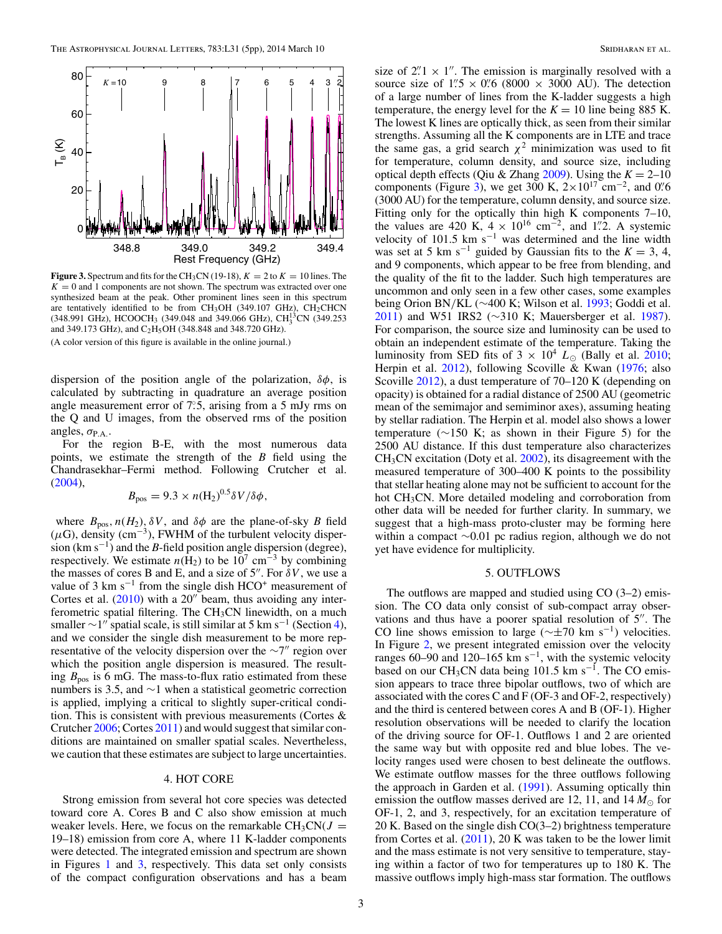<span id="page-2-0"></span>

**Figure 3.** Spectrum and fits for the CH<sub>3</sub>CN (19-18),  $K = 2$  to  $K = 10$  lines. The  $K = 0$  and 1 components are not shown. The spectrum was extracted over one synthesized beam at the peak. Other prominent lines seen in this spectrum are tentatively identified to be from  $CH<sub>3</sub>OH$  (349.107 GHz),  $CH<sub>2</sub>CHCN$  $(348.991 \text{ GHz})$ , HCOOCH<sub>3</sub>  $(349.048 \text{ and } 349.066 \text{ GHz})$ , CH<sub>3</sub><sup>3</sup>CN  $(349.253 \text{ cm})$ and 349.173 GHz), and C<sub>2</sub>H<sub>5</sub>OH (348.848 and 348.720 GHz).

(A color version of this figure is available in the online journal.)

dispersion of the position angle of the polarization, *δφ*, is calculated by subtracting in quadrature an average position angle measurement error of  $7^\circ$ .5, arising from a 5 mJy rms on the Q and U images, from the observed rms of the position angles,  $\sigma_{P.A.}$ .

For the region B-E, with the most numerous data points, we estimate the strength of the *B* field using the Chandrasekhar–Fermi method. Following Crutcher et al. [\(2004\)](#page-3-0),

$$
B_{\rm pos} = 9.3 \times n({\rm H_2})^{0.5} \delta V / \delta \phi,
$$

where  $B_{\text{pos}}$ ,  $n(H_2)$ ,  $\delta V$ , and  $\delta \phi$  are the plane-of-sky *B* field  $(\mu G)$ , density (cm<sup>-3</sup>), FWHM of the turbulent velocity dispersion (km s−1) and the *B*-field position angle dispersion (degree), respectively. We estimate  $n(\hat{H}_2)$  to be 10<sup>7</sup> cm<sup>-3</sup> by combining the masses of cores B and E, and a size of  $5''$ . For  $\delta V$ , we use a value of 3 km s<sup> $-1$ </sup> from the single dish HCO<sup>+</sup> measurement of Cortes et al.  $(2010)$  with a 20" beam, thus avoiding any interferometric spatial filtering. The  $CH<sub>3</sub>CN$  linewidth, on a much smaller  $\sim$ 1" spatial scale, is still similar at 5 km s<sup>-1</sup> (Section 4), and we consider the single dish measurement to be more representative of the velocity dispersion over the  $\sim$ 7" region over which the position angle dispersion is measured. The resulting  $B_{\text{pos}}$  is 6 mG. The mass-to-flux ratio estimated from these numbers is 3.5, and ∼1 when a statistical geometric correction is applied, implying a critical to slightly super-critical condition. This is consistent with previous measurements (Cortes & Crutcher [2006;](#page-3-0) Cortes [2011\)](#page-3-0) and would suggest that similar conditions are maintained on smaller spatial scales. Nevertheless, we caution that these estimates are subject to large uncertainties.

#### 4. HOT CORE

Strong emission from several hot core species was detected toward core A. Cores B and C also show emission at much weaker levels. Here, we focus on the remarkable  $CH<sub>3</sub>CN(J =$ 19–18) emission from core A, where 11 K-ladder components were detected. The integrated emission and spectrum are shown in Figures [1](#page-1-0) and 3, respectively. This data set only consists of the compact configuration observations and has a beam

size of  $2^{n}$   $\times$  1". The emission is marginally resolved with a source size of  $1\frac{7}{5} \times 0\frac{7}{6}$  (8000 × 3000 AU). The detection of a large number of lines from the K-ladder suggests a high temperature, the energy level for the  $K = 10$  line being 885 K. The lowest K lines are optically thick, as seen from their similar strengths. Assuming all the K components are in LTE and trace the same gas, a grid search  $\chi^2$  minimization was used to fit for temperature, column density, and source size, including optical depth effects (Qiu & Zhang [2009\)](#page-4-0). Using the  $K = 2-10$ components (Figure 3), we get 300 K,  $2 \times 10^{17}$  cm<sup>-2</sup>, and 0. <sup>7</sup>/<sub>6</sub> (3000 AU) for the temperature, column density, and source size. Fitting only for the optically thin high K components 7–10, the values are 420 K,  $4 \times 10^{16}$  cm<sup>-2</sup>, and 1<sup>*n*</sup>. A systemic velocity of 101.5 km s<sup>-1</sup> was determined and the line width was set at 5 km s<sup>-1</sup> guided by Gaussian fits to the  $K = 3, 4$ , and 9 components, which appear to be free from blending, and the quality of the fit to the ladder. Such high temperatures are uncommon and only seen in a few other cases, some examples being Orion BN*/*KL (∼400 K; Wilson et al. [1993;](#page-4-0) Goddi et al. [2011\)](#page-3-0) and W51 IRS2 (~310 K; Mauersberger et al. [1987\)](#page-4-0). For comparison, the source size and luminosity can be used to obtain an independent estimate of the temperature. Taking the luminosity from SED fits of  $3 \times 10^4$   $L_{\odot}$  (Bally et al. [2010;](#page-3-0) Herpin et al. [2012\)](#page-4-0), following Scoville & Kwan [\(1976;](#page-4-0) also Scoville [2012\)](#page-4-0), a dust temperature of 70–120 K (depending on opacity) is obtained for a radial distance of 2500 AU (geometric mean of the semimajor and semiminor axes), assuming heating by stellar radiation. The Herpin et al. model also shows a lower temperature (∼150 K; as shown in their Figure 5) for the 2500 AU distance. If this dust temperature also characterizes  $CH<sub>3</sub>CN$  excitation (Doty et al.  $2002$ ), its disagreement with the measured temperature of 300–400 K points to the possibility that stellar heating alone may not be sufficient to account for the hot CH<sub>3</sub>CN. More detailed modeling and corroboration from other data will be needed for further clarity. In summary, we suggest that a high-mass proto-cluster may be forming here within a compact ∼0.01 pc radius region, although we do not yet have evidence for multiplicity.

#### 5. OUTFLOWS

The outflows are mapped and studied using  $CO(3-2)$  emission. The CO data only consist of sub-compact array observations and thus have a poorer spatial resolution of  $5$ ". The CO line shows emission to large ( $\sim \pm 70$  km s<sup>-1</sup>) velocities. In Figure [2,](#page-1-0) we present integrated emission over the velocity ranges 60–90 and 120–165 km s<sup>-1</sup>, with the systemic velocity based on our CH<sub>3</sub>CN data being 101.5 km s<sup>-1</sup>. The CO emission appears to trace three bipolar outflows, two of which are associated with the cores C and F (OF-3 and OF-2, respectively) and the third is centered between cores A and B (OF-1). Higher resolution observations will be needed to clarify the location of the driving source for OF-1. Outflows 1 and 2 are oriented the same way but with opposite red and blue lobes. The velocity ranges used were chosen to best delineate the outflows. We estimate outflow masses for the three outflows following the approach in Garden et al. [\(1991\)](#page-3-0). Assuming optically thin emission the outflow masses derived are 12, 11, and  $14 M_{\odot}$  for OF-1, 2, and 3, respectively, for an excitation temperature of 20 K. Based on the single dish CO(3–2) brightness temperature from Cortes et al.  $(2011)$ , 20 K was taken to be the lower limit and the mass estimate is not very sensitive to temperature, staying within a factor of two for temperatures up to 180 K. The massive outflows imply high-mass star formation. The outflows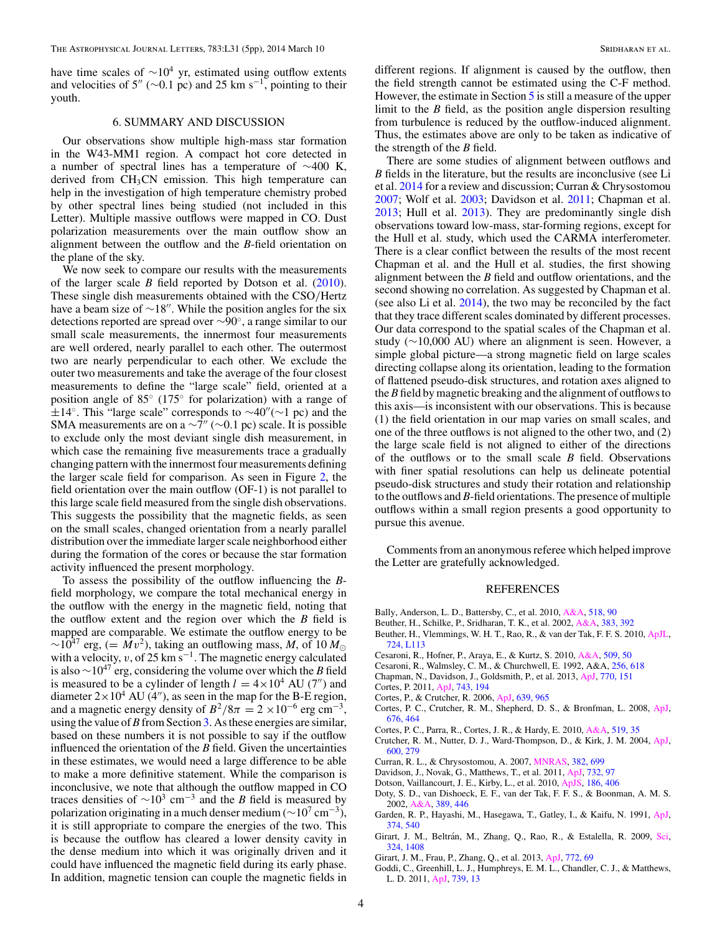<span id="page-3-0"></span>have time scales of  $\sim 10^4$  yr, estimated using outflow extents and velocities of 5" ( $\sim$ 0.1 pc) and 25 km s<sup>-1</sup>, pointing to their youth.

# 6. SUMMARY AND DISCUSSION

Our observations show multiple high-mass star formation in the W43-MM1 region. A compact hot core detected in a number of spectral lines has a temperature of ∼400 K, derived from  $CH<sub>3</sub>CN$  emission. This high temperature can help in the investigation of high temperature chemistry probed by other spectral lines being studied (not included in this Letter). Multiple massive outflows were mapped in CO. Dust polarization measurements over the main outflow show an alignment between the outflow and the *B*-field orientation on the plane of the sky.

We now seek to compare our results with the measurements of the larger scale *B* field reported by Dotson et al. (2010). These single dish measurements obtained with the CSO*/*Hertz have a beam size of  $\sim$ 18". While the position angles for the six detections reported are spread over ∼90◦, a range similar to our small scale measurements, the innermost four measurements are well ordered, nearly parallel to each other. The outermost two are nearly perpendicular to each other. We exclude the outer two measurements and take the average of the four closest measurements to define the "large scale" field, oriented at a position angle of 85◦ (175◦ for polarization) with a range of  $\pm 14^\circ$ . This "large scale" corresponds to  $\sim 40'' (\sim 1 \text{ pc})$  and the SMA measurements are on a  $\sim$ 7" ( $\sim$ 0.1 pc) scale. It is possible to exclude only the most deviant single dish measurement, in which case the remaining five measurements trace a gradually changing pattern with the innermost four measurements defining the larger scale field for comparison. As seen in Figure [2,](#page-1-0) the field orientation over the main outflow (OF-1) is not parallel to this large scale field measured from the single dish observations. This suggests the possibility that the magnetic fields, as seen on the small scales, changed orientation from a nearly parallel distribution over the immediate larger scale neighborhood either during the formation of the cores or because the star formation activity influenced the present morphology.

To assess the possibility of the outflow influencing the *B*field morphology, we compare the total mechanical energy in the outflow with the energy in the magnetic field, noting that the outflow extent and the region over which the *B* field is mapped are comparable. We estimate the outflow energy to be  $\sim$ 10<sup>47</sup> erg, (=  $Mv^2$ ), taking an outflowing mass, M, of 10  $M_{\odot}$ with a velocity, *v*, of 25 km s<sup>−1</sup>. The magnetic energy calculated is also <sup>∼</sup>1047 erg, considering the volume over which the *<sup>B</sup>* field is measured to be a cylinder of length  $l = 4 \times 10^4$  AU (7") and diameter  $2 \times 10^4$  AU (4"), as seen in the map for the B-E region, and a magnetic energy density of  $B^2/8\pi = 2 \times 10^{-6}$  erg cm<sup>-3</sup>, using the value of *B* from Section [3.](#page-1-0) As these energies are similar, based on these numbers it is not possible to say if the outflow influenced the orientation of the *B* field. Given the uncertainties in these estimates, we would need a large difference to be able to make a more definitive statement. While the comparison is inconclusive, we note that although the outflow mapped in CO traces densities of  $\sim 10^3$  cm<sup>-3</sup> and the *B* field is measured by polarization originating in a much denser medium ( $\sim 10^7$  cm<sup>-3</sup>), it is still appropriate to compare the energies of the two. This is because the outflow has cleared a lower density cavity in the dense medium into which it was originally driven and it could have influenced the magnetic field during its early phase. In addition, magnetic tension can couple the magnetic fields in

different regions. If alignment is caused by the outflow, then the field strength cannot be estimated using the C-F method. However, the estimate in Section [5](#page-2-0) is still a measure of the upper limit to the *B* field, as the position angle dispersion resulting from turbulence is reduced by the outflow-induced alignment. Thus, the estimates above are only to be taken as indicative of the strength of the *B* field.

There are some studies of alignment between outflows and *B* fields in the literature, but the results are inconclusive (see Li et al. [2014](#page-4-0) for a review and discussion; Curran & Chrysostomou 2007; Wolf et al. [2003;](#page-4-0) Davidson et al. 2011; Chapman et al. 2013; Hull et al. [2013\)](#page-4-0). They are predominantly single dish observations toward low-mass, star-forming regions, except for the Hull et al. study, which used the CARMA interferometer. There is a clear conflict between the results of the most recent Chapman et al. and the Hull et al. studies, the first showing alignment between the *B* field and outflow orientations, and the second showing no correlation. As suggested by Chapman et al. (see also Li et al. [2014\)](#page-4-0), the two may be reconciled by the fact that they trace different scales dominated by different processes. Our data correspond to the spatial scales of the Chapman et al. study (∼10,000 AU) where an alignment is seen. However, a simple global picture—a strong magnetic field on large scales directing collapse along its orientation, leading to the formation of flattened pseudo-disk structures, and rotation axes aligned to the *B* field by magnetic breaking and the alignment of outflows to this axis—is inconsistent with our observations. This is because (1) the field orientation in our map varies on small scales, and one of the three outflows is not aligned to the other two, and (2) the large scale field is not aligned to either of the directions of the outflows or to the small scale *B* field. Observations with finer spatial resolutions can help us delineate potential pseudo-disk structures and study their rotation and relationship to the outflows and *B*-field orientations. The presence of multiple outflows within a small region presents a good opportunity to pursue this avenue.

Comments from an anonymous referee which helped improve the Letter are gratefully acknowledged.

## REFERENCES

- Bally, Anderson, L. D., Battersby, C., et al. 2010, [A&A,](http://dx.doi.org/10.1051/0004-6361/201014596) [518, 90](http://adsabs.harvard.edu/abs/2010A&A...518L..90B)
- Beuther, H., Schilke, P., Sridharan, T. K., et al. 2002, [A&A,](http://dx.doi.org/10.1051/0004-6361:20011808) [383, 392](http://adsabs.harvard.edu/abs/2002A&A...383..892B)
- Beuther, H., Vlemmings, W. H. T., Rao, R., & van der Tak, F. F. S. 2010, [ApJL,](http://dx.doi.org/10.1088/2041-8205/724/1/L113) [724, L113](http://adsabs.harvard.edu/abs/2010ApJ...724L.113B)
- Cesaroni, R., Hofner, P., Araya, E., & Kurtz, S. 2010, [A&A,](http://dx.doi.org/10.1051/0004-6361/200912877) [509, 50](http://adsabs.harvard.edu/abs/2010A&A...509A..50C)
- Cesaroni, R., Walmsley, C. M., & Churchwell, E. 1992, A&A, [256, 618](http://adsabs.harvard.edu/abs/1992A&A...256..618C)
- Chapman, N., Davidson, J., Goldsmith, P., et al. 2013, [ApJ,](http://dx.doi.org/10.1088/0004-637X/770/2/151) [770, 151](http://adsabs.harvard.edu/abs/2013ApJ...770..151C)
- Cortes, P. 2011, [ApJ,](http://dx.doi.org/10.1088/0004-637X/743/2/194) [743, 194](http://adsabs.harvard.edu/abs/2011ApJ...743..194C)
- Cortes, P., & Crutcher, R. 2006, [ApJ,](http://dx.doi.org/10.1086/498971) [639, 965](http://adsabs.harvard.edu/abs/2006ApJ...639..965C)
- Cortes, P. C., Crutcher, R. M., Shepherd, D. S., & Bronfman, L. 2008, [ApJ,](http://dx.doi.org/10.1086/524355) [676, 464](http://adsabs.harvard.edu/abs/2008ApJ...676..464C)
- Cortes, P. C., Parra, R., Cortes, J. R., & Hardy, E. 2010, [A&A,](http://dx.doi.org/10.1051/0004-6361/200811137) [519, 35](http://adsabs.harvard.edu/abs/2010A&A...519A..35C)
- Crutcher, R. M., Nutter, D. J., Ward-Thompson, D., & Kirk, J. M. 2004, [ApJ,](http://dx.doi.org/10.1086/379705) [600, 279](http://adsabs.harvard.edu/abs/2004ApJ...600..279C)
- Curran, R. L., & Chrysostomou, A. 2007, [MNRAS,](http://dx.doi.org/10.1111/j.1365-2966.2007.12399.x) [382, 699](http://adsabs.harvard.edu/abs/2007MNRAS.382..699C)
- Davidson, J., Novak, G., Matthews, T., et al. 2011, [ApJ,](http://dx.doi.org/10.1088/0004-637X/732/2/97) [732, 97](http://adsabs.harvard.edu/abs/2011ApJ...732...97D)
- Dotson, Vaillancourt, J. E., Kirby, L., et al. 2010, [ApJS,](http://dx.doi.org/10.1088/0067-0049/186/2/406) [186, 406](http://adsabs.harvard.edu/abs/2010ApJS..186..406D)
- Doty, S. D., van Dishoeck, E. F., van der Tak, F. F. S., & Boonman, A. M. S. 2002, [A&A,](http://dx.doi.org/10.1051/0004-6361:20020597) [389, 446](http://adsabs.harvard.edu/abs/2002A&A...389..446D)
- Garden, R. P., Hayashi, M., Hasegawa, T., Gatley, I., & Kaifu, N. 1991, [ApJ,](http://dx.doi.org/10.1086/170143) [374, 540](http://adsabs.harvard.edu/abs/1991ApJ...374..540G)
- Girart, J. M., Beltrán, M., Zhang, Q., Rao, R., & Estalella, R. 2009, [Sci,](http://dx.doi.org/10.1126/science.1171807) [324, 1408](http://adsabs.harvard.edu/abs/2009Sci...324.1408G)
- Girart, J. M., Frau, P., Zhang, Q., et al. 2013, [ApJ,](http://dx.doi.org/10.1088/0004-637X/772/1/69) [772, 69](http://adsabs.harvard.edu/abs/2013ApJ...772...69G)
- Goddi, C., Greenhill, L. J., Humphreys, E. M. L., Chandler, C. J., & Matthews, L. D. 2011, [ApJ,](http://dx.doi.org/10.1088/2041-8205/739/1/L13) [739, 13](http://adsabs.harvard.edu/abs/2011ApJ...739L..13G)